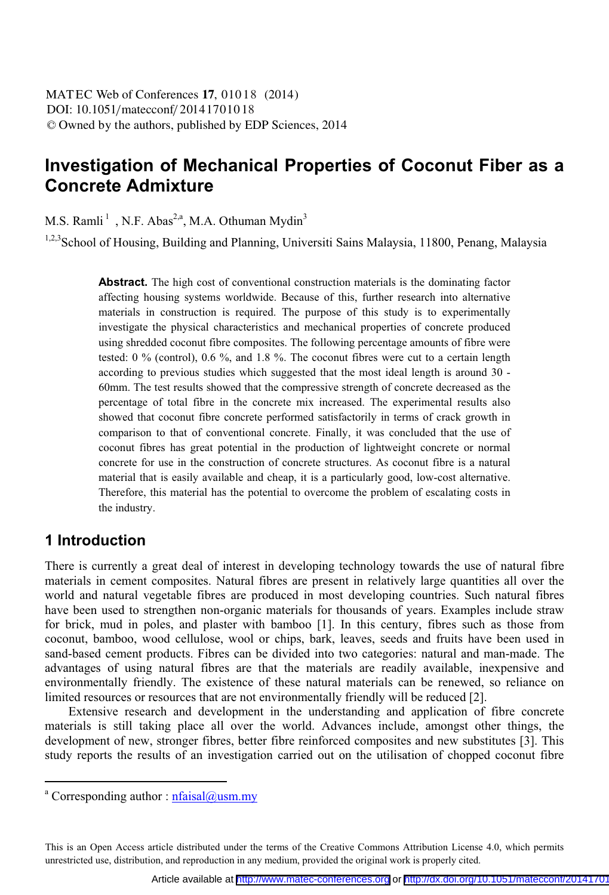# **Investigation of Mechanical Properties of Coconut Fiber as a Concrete Admixture**

M.S. Ramli<sup>1</sup>, N.F. Abas<sup>2,a</sup>, M.A. Othuman Mydin<sup>3</sup>

1,2,3 School of Housing, Building and Planning, Universiti Sains Malaysia, 11800, Penang, Malaysia

**Abstract.** The high cost of conventional construction materials is the dominating factor affecting housing systems worldwide. Because of this, further research into alternative materials in construction is required. The purpose of this study is to experimentally investigate the physical characteristics and mechanical properties of concrete produced using shredded coconut fibre composites. The following percentage amounts of fibre were tested: 0 % (control), 0.6 %, and 1.8 %. The coconut fibres were cut to a certain length according to previous studies which suggested that the most ideal length is around 30 - 60mm. The test results showed that the compressive strength of concrete decreased as the percentage of total fibre in the concrete mix increased. The experimental results also showed that coconut fibre concrete performed satisfactorily in terms of crack growth in comparison to that of conventional concrete. Finally, it was concluded that the use of coconut fibres has great potential in the production of lightweight concrete or normal concrete for use in the construction of concrete structures. As coconut fibre is a natural material that is easily available and cheap, it is a particularly good, low-cost alternative. Therefore, this material has the potential to overcome the problem of escalating costs in the industry.

## **1 Introduction**

 $\overline{a}$ 

There is currently a great deal of interest in developing technology towards the use of natural fibre materials in cement composites. Natural fibres are present in relatively large quantities all over the world and natural vegetable fibres are produced in most developing countries. Such natural fibres have been used to strengthen non-organic materials for thousands of years. Examples include straw for brick, mud in poles, and plaster with bamboo [1]. In this century, fibres such as those from coconut, bamboo, wood cellulose, wool or chips, bark, leaves, seeds and fruits have been used in sand-based cement products. Fibres can be divided into two categories: natural and man-made. The advantages of using natural fibres are that the materials are readily available, inexpensive and environmentally friendly. The existence of these natural materials can be renewed, so reliance on limited resources or resources that are not environmentally friendly will be reduced [2].

 Extensive research and development in the understanding and application of fibre concrete materials is still taking place all over the world. Advances include, amongst other things, the development of new, stronger fibres, better fibre reinforced composites and new substitutes [3]. This study reports the results of an investigation carried out on the utilisation of chopped coconut fibre

<sup>&</sup>lt;sup>a</sup> Corresponding author : nfaisal@usm.my

This is an Open Access article distributed under the terms of the Creative Commons Attribution License 4.0, which permits unrestricted use, distribution, and reproduction in any medium, provided the original work is properly cited.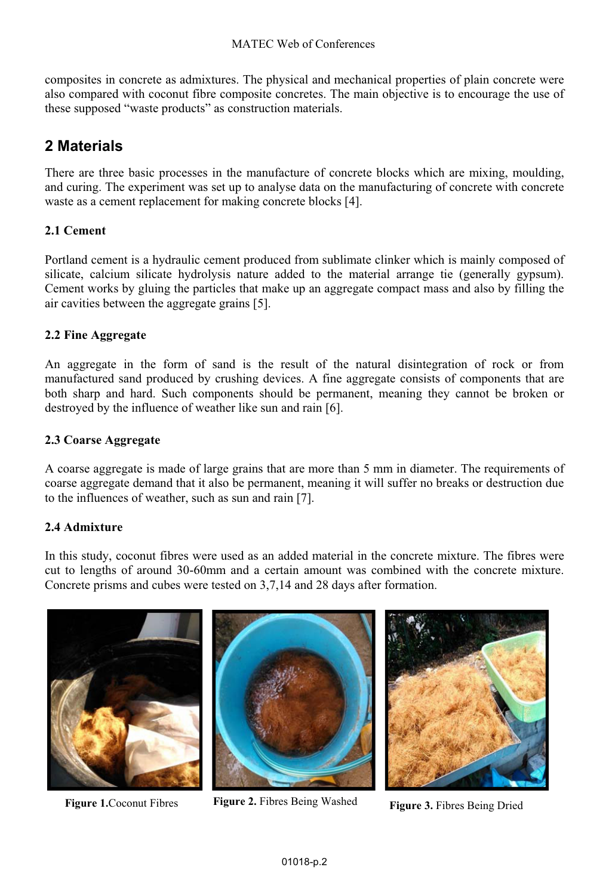composites in concrete as admixtures. The physical and mechanical properties of plain concrete were also compared with coconut fibre composite concretes. The main objective is to encourage the use of these supposed "waste products" as construction materials.

# **2 Materials**

There are three basic processes in the manufacture of concrete blocks which are mixing, moulding, and curing. The experiment was set up to analyse data on the manufacturing of concrete with concrete waste as a cement replacement for making concrete blocks [4].

## **2.1 Cement**

Portland cement is a hydraulic cement produced from sublimate clinker which is mainly composed of silicate, calcium silicate hydrolysis nature added to the material arrange tie (generally gypsum). Cement works by gluing the particles that make up an aggregate compact mass and also by filling the air cavities between the aggregate grains [5].

### **2.2 Fine Aggregate**

An aggregate in the form of sand is the result of the natural disintegration of rock or from manufactured sand produced by crushing devices. A fine aggregate consists of components that are both sharp and hard. Such components should be permanent, meaning they cannot be broken or destroyed by the influence of weather like sun and rain [6].

#### **2.3 Coarse Aggregate**

A coarse aggregate is made of large grains that are more than 5 mm in diameter. The requirements of coarse aggregate demand that it also be permanent, meaning it will suffer no breaks or destruction due to the influences of weather, such as sun and rain [7].

#### **2.4 Admixture**

In this study, coconut fibres were used as an added material in the concrete mixture. The fibres were cut to lengths of around 30-60mm and a certain amount was combined with the concrete mixture. Concrete prisms and cubes were tested on 3,7,14 and 28 days after formation.





**Figure 1.**Coconut Fibres **Figure 2.** Fibres Being Washed **Figure 3.** Fibres Being Dried

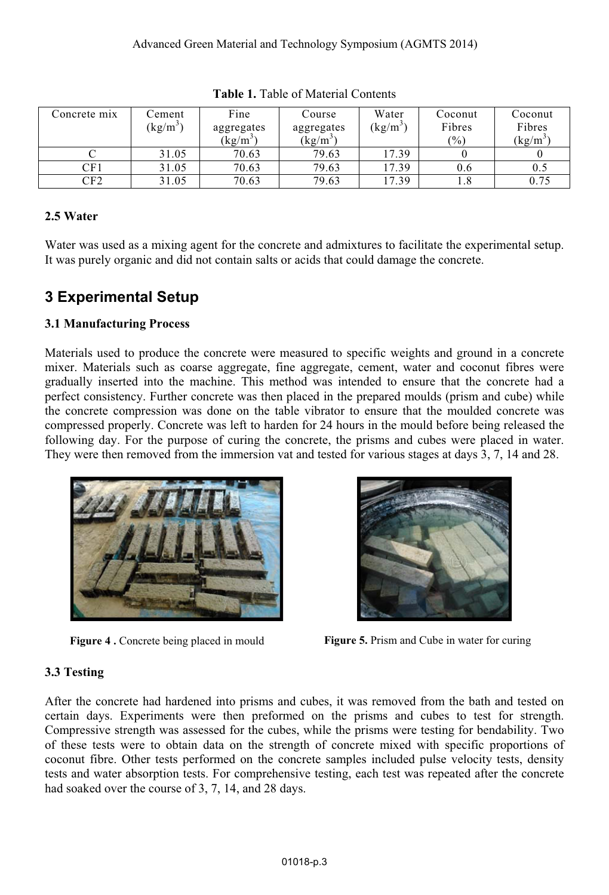| Concrete mix | ∵ement<br>$(kg/m^3)$ | Fine<br>aggregates<br>$(\text{kg/m}^3)$ | Course<br>aggregates<br>$\left({\rm kg/m}^3\right)$ | Water<br>$(kg/m^3)$ | Coconut<br>Fibres<br>$\frac{1}{2}$ | Coconut<br>Fibres<br>$\left(\frac{kg}{m}\right)$ |
|--------------|----------------------|-----------------------------------------|-----------------------------------------------------|---------------------|------------------------------------|--------------------------------------------------|
|              | 31.05                | 70.63                                   | 79.63                                               | 17.39               |                                    |                                                  |
| CF1          | 31.05                | 70.63                                   | 79.63                                               | 17.39               | 0.6                                | 0.5                                              |
| CF2          | 31.05                | 70.63                                   | 79.63                                               | 17.39               | 1.8                                | 0.75                                             |

**Table 1.** Table of Material Contents

### **2.5 Water**

Water was used as a mixing agent for the concrete and admixtures to facilitate the experimental setup. It was purely organic and did not contain salts or acids that could damage the concrete.

# **3 Experimental Setup**

#### **3.1 Manufacturing Process**

Materials used to produce the concrete were measured to specific weights and ground in a concrete mixer. Materials such as coarse aggregate, fine aggregate, cement, water and coconut fibres were gradually inserted into the machine. This method was intended to ensure that the concrete had a perfect consistency. Further concrete was then placed in the prepared moulds (prism and cube) while the concrete compression was done on the table vibrator to ensure that the moulded concrete was compressed properly. Concrete was left to harden for 24 hours in the mould before being released the following day. For the purpose of curing the concrete, the prisms and cubes were placed in water. They were then removed from the immersion vat and tested for various stages at days 3, 7, 14 and 28.





**Figure 4.** Concrete being placed in mould **Figure 5.** Prism and Cube in water for curing

## **3.3 Testing**

After the concrete had hardened into prisms and cubes, it was removed from the bath and tested on certain days. Experiments were then preformed on the prisms and cubes to test for strength. Compressive strength was assessed for the cubes, while the prisms were testing for bendability. Two of these tests were to obtain data on the strength of concrete mixed with specific proportions of coconut fibre. Other tests performed on the concrete samples included pulse velocity tests, density tests and water absorption tests. For comprehensive testing, each test was repeated after the concrete had soaked over the course of 3, 7, 14, and 28 days.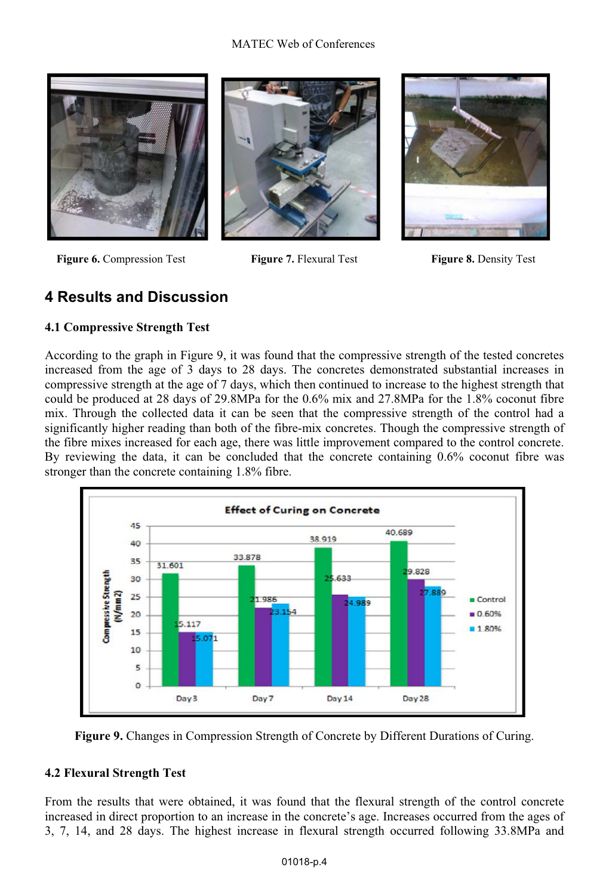#### MATEC Web of Conferences



**Figure 6.** Compression Test **Figure 7.** Flexural Test **Figure 8.** Density Test





# **4 Results and Discussion**

#### **4.1 Compressive Strength Test**

According to the graph in Figure 9, it was found that the compressive strength of the tested concretes increased from the age of 3 days to 28 days. The concretes demonstrated substantial increases in compressive strength at the age of 7 days, which then continued to increase to the highest strength that could be produced at 28 days of 29.8MPa for the 0.6% mix and 27.8MPa for the 1.8% coconut fibre mix. Through the collected data it can be seen that the compressive strength of the control had a significantly higher reading than both of the fibre-mix concretes. Though the compressive strength of the fibre mixes increased for each age, there was little improvement compared to the control concrete. By reviewing the data, it can be concluded that the concrete containing 0.6% coconut fibre was stronger than the concrete containing 1.8% fibre.



**Figure 9.** Changes in Compression Strength of Concrete by Different Durations of Curing.

#### **4.2 Flexural Strength Test**

From the results that were obtained, it was found that the flexural strength of the control concrete increased in direct proportion to an increase in the concrete's age. Increases occurred from the ages of 3, 7, 14, and 28 days. The highest increase in flexural strength occurred following 33.8MPa and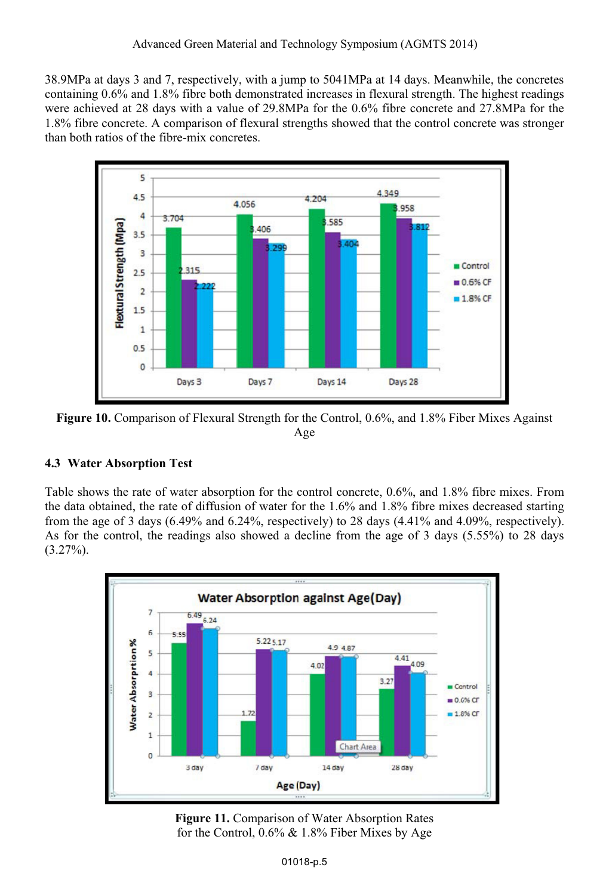38.9MPa at days 3 and 7, respectively, with a jump to 5041MPa at 14 days. Meanwhile, the concretes containing 0.6% and 1.8% fibre both demonstrated increases in flexural strength. The highest readings were achieved at 28 days with a value of 29.8MPa for the 0.6% fibre concrete and 27.8MPa for the 1.8% fibre concrete. A comparison of flexural strengths showed that the control concrete was stronger than both ratios of the fibre-mix concretes.



**Figure 10.** Comparison of Flexural Strength for the Control, 0.6%, and 1.8% Fiber Mixes Against Age

## **4.3 Water Absorption Test**

Table shows the rate of water absorption for the control concrete, 0.6%, and 1.8% fibre mixes. From the data obtained, the rate of diffusion of water for the 1.6% and 1.8% fibre mixes decreased starting from the age of 3 days  $(6.49\%$  and  $6.24\%$ , respectively) to 28 days  $(4.41\%$  and  $4.09\%$ , respectively). As for the control, the readings also showed a decline from the age of 3 days (5.55%) to 28 days  $(3.27\%).$ 



**Figure 11.** Comparison of Water Absorption Rates for the Control, 0.6% & 1.8% Fiber Mixes by Age